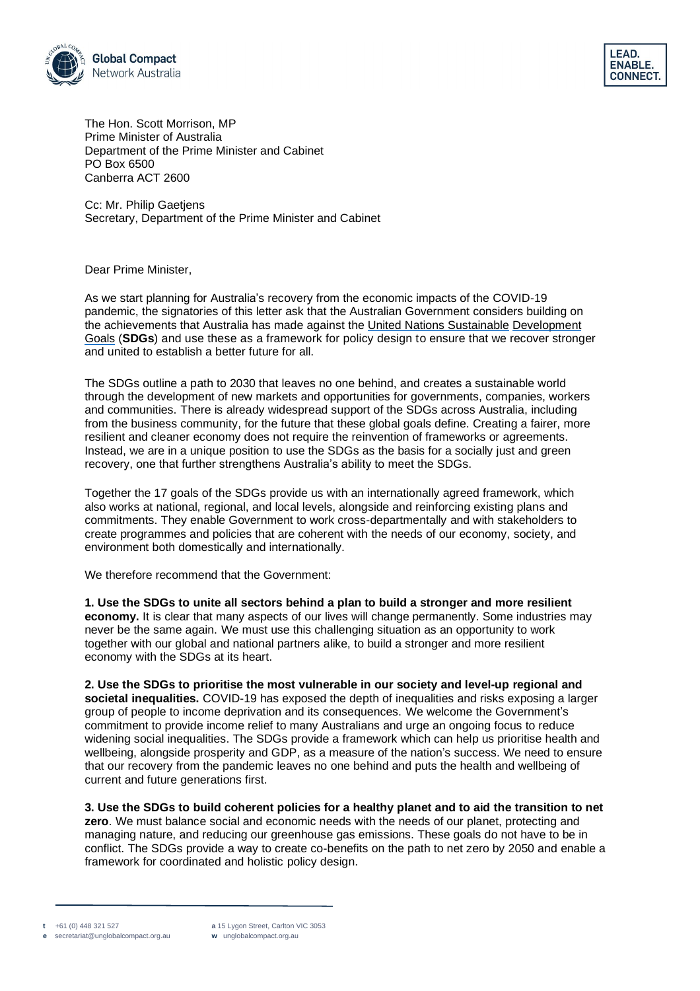



The Hon. Scott Morrison, MP Prime Minister of Australia Department of the Prime Minister and Cabinet PO Box 6500 Canberra ACT 2600

Cc: Mr. Philip Gaetjens Secretary, Department of the Prime Minister and Cabinet

Dear Prime Minister,

As we start planning for Australia's recovery from the economic impacts of the COVID-19 pandemic, the signatories of this letter ask that the Australian Government considers building on the achievements that Australia has made against the [United Nations](http://www.sdgs.org.au/) Sustainable [Development](http://www.sdgs.org.au/) [Goals](http://www.sdgs.org.au/) (**SDGs**) and use these as a framework for policy design to ensure that we recover stronger and united to establish a better future for all.

The SDGs outline a path to 2030 that leaves no one behind, and creates a sustainable world through the development of new markets and opportunities for governments, companies, workers and communities. There is already widespread support of the SDGs across Australia, including from the business community, for the future that these global goals define. Creating a fairer, more resilient and cleaner economy does not require the reinvention of frameworks or agreements. Instead, we are in a unique position to use the SDGs as the basis for a socially just and green recovery, one that further strengthens Australia's ability to meet the SDGs.

Together the 17 goals of the SDGs provide us with an internationally agreed framework, which also works at national, regional, and local levels, alongside and reinforcing existing plans and commitments. They enable Government to work cross-departmentally and with stakeholders to create programmes and policies that are coherent with the needs of our economy, society, and environment both domestically and internationally.

We therefore recommend that the Government:

**1. Use the SDGs to unite all sectors behind a plan to build a stronger and more resilient economy.** It is clear that many aspects of our lives will change permanently. Some industries may never be the same again. We must use this challenging situation as an opportunity to work together with our global and national partners alike, to build a stronger and more resilient economy with the SDGs at its heart.

**2. Use the SDGs to prioritise the most vulnerable in our society and level-up regional and societal inequalities.** COVID-19 has exposed the depth of inequalities and risks exposing a larger group of people to income deprivation and its consequences. We welcome the Government's commitment to provide income relief to many Australians and urge an ongoing focus to reduce widening social inequalities. The SDGs provide a framework which can help us prioritise health and wellbeing, alongside prosperity and GDP, as a measure of the nation's success. We need to ensure that our recovery from the pandemic leaves no one behind and puts the health and wellbeing of current and future generations first.

**3. Use the SDGs to build coherent policies for a healthy planet and to aid the transition to net zero**. We must balance social and economic needs with the needs of our planet, protecting and managing nature, and reducing our greenhouse gas emissions. These goals do not have to be in conflict. The SDGs provide a way to create co-benefits on the path to net zero by 2050 and enable a framework for coordinated and holistic policy design.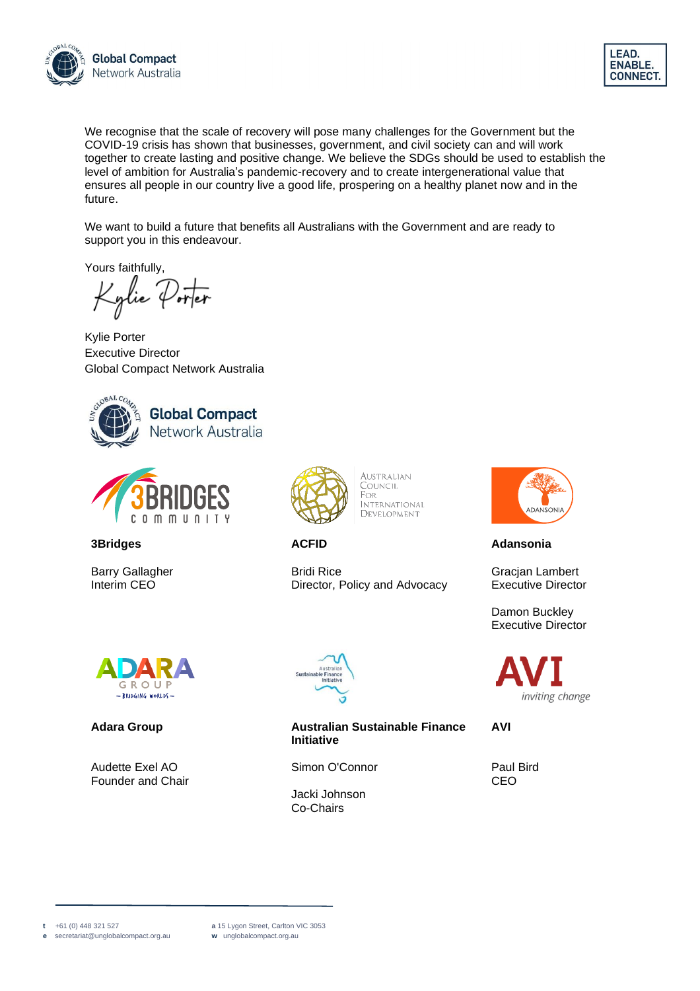



We recognise that the scale of recovery will pose many challenges for the Government but the COVID-19 crisis has shown that businesses, government, and civil society can and will work together to create lasting and positive change. We believe the SDGs should be used to establish the level of ambition for Australia's pandemic-recovery and to create intergenerational value that ensures all people in our country live a good life, prospering on a healthy planet now and in the future.

We want to build a future that benefits all Australians with the Government and are ready to support you in this endeavour.

Yours faithfully,

'glie 'Porter

Kylie Porter Executive Director Global Compact Network Australia





**3Bridges**

Barry Gallagher Interim CEO



**AUSTRALIAN** COUNCIL FOR **INTERNATIONAL** DEVELOPMENT

**ACFID**

Bridi Rice Director, Policy and Advocacy



#### **Adara Group**

Audette Exel AO Founder and Chair



**Australian Sustainable Finance Initiative**

Simon O'Connor

Jacki Johnson Co-Chairs



**Adansonia**

Gracjan Lambert Executive Director

Damon Buckley Executive Director



**AVI**

Paul Bird CEO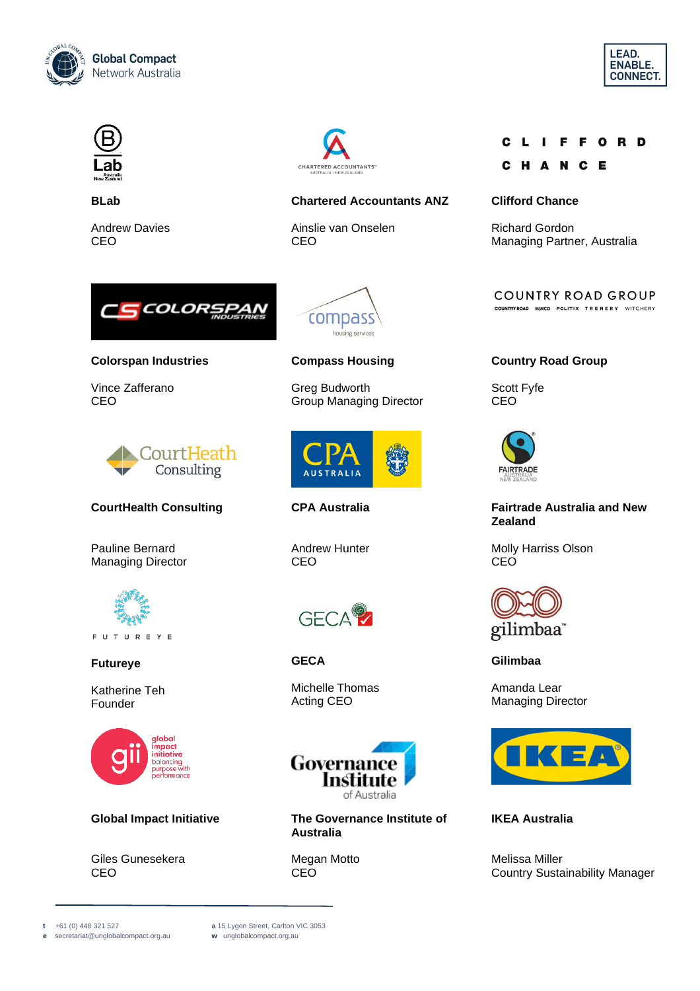





**BLab**

Andrew Davies CEO



#### **Chartered Accountants ANZ**

Ainslie van Onselen CEO

#### **FFORD** - L

#### C E H A N

#### **Clifford Chance**

Richard Gordon Managing Partner, Australia

COUNTRY ROAD GROUP

COUNTRYROAD MIMCO POLITIX TRENERY WITCHERY



#### **Colorspan Industries**

Vince Zafferano CEO



### **CourtHealth Consulting**

Pauline Bernard Managing Director



F U T U R E Y E

#### **Futureye**

Katherine Teh Founder



#### **Global Impact Initiative**

Giles Gunesekera CEO



#### **Compass Housing**

Greg Budworth Group Managing Director



Andrew Hunter CEO



**GECA**

Michelle Thomas Acting CEO



**The Governance Institute of Australia**

Megan Motto **CEO** 

## **Country Road Group**

Scott Fyfe CEO



#### **Fairtrade Australia and New Zealand**

Molly Harriss Olson CEO



**Gilimbaa**

Amanda Lear Managing Director



#### **IKEA Australia**

Melissa Miller Country Sustainability Manager



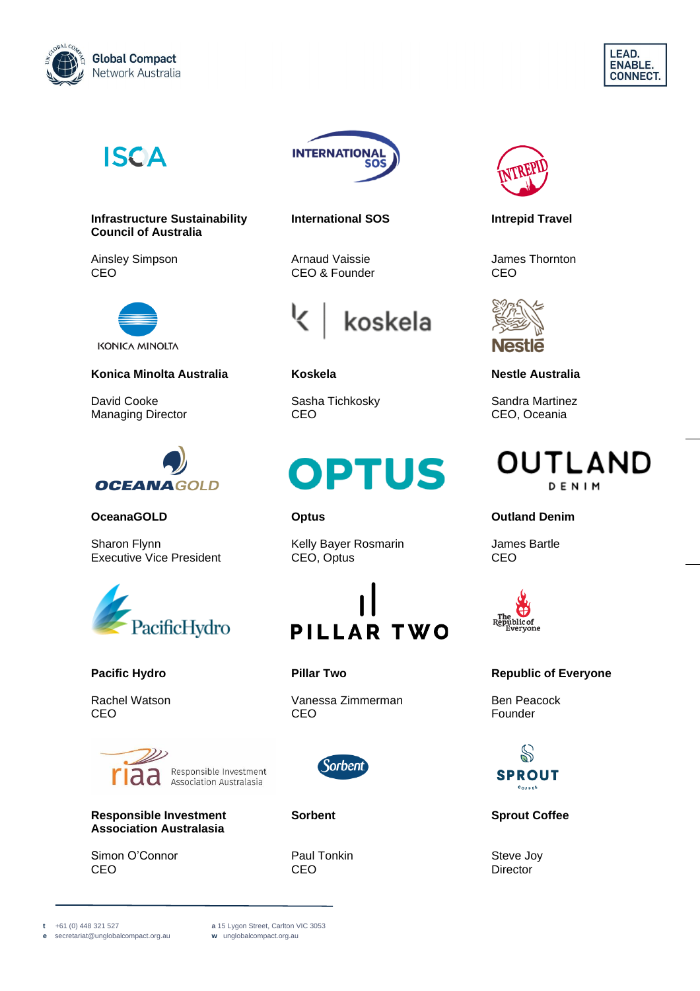





**Infrastructure Sustainability Council of Australia**

Ainsley Simpson CEO



## **Konica Minolta Australia**

David Cooke Managing Director



#### **OceanaGOLD**

Sharon Flynn Executive Vice President



#### **Pacific Hydro**

Rachel Watson CEO



**Responsible Investment Association Australasia**

Simon O'Connor CEO



**International SOS**

Arnaud Vaissie CEO & Founder



**Koskela**

Sasha Tichkosky CEO

# OPTUS

#### **Optus**

Kelly Bayer Rosmarin CEO, Optus



**Pillar Two**

Vanessa Zimmerman CEO



**Sorbent**

Paul Tonkin CEO



**Intrepid Travel**

James Thornton CEO



**Nestle Australia**

Sandra Martinez CEO, Oceania

## **OUTLAND** DENIM

#### **Outland Denim**

James Bartle CEO



#### **Republic of Everyone**

Ben Peacock Founder



**Sprout Coffee**

Steve Joy **Director** 

**e** [secretariat@unglobalcompact.org.au](mailto:secretariat@unglobalcompact.org.au)